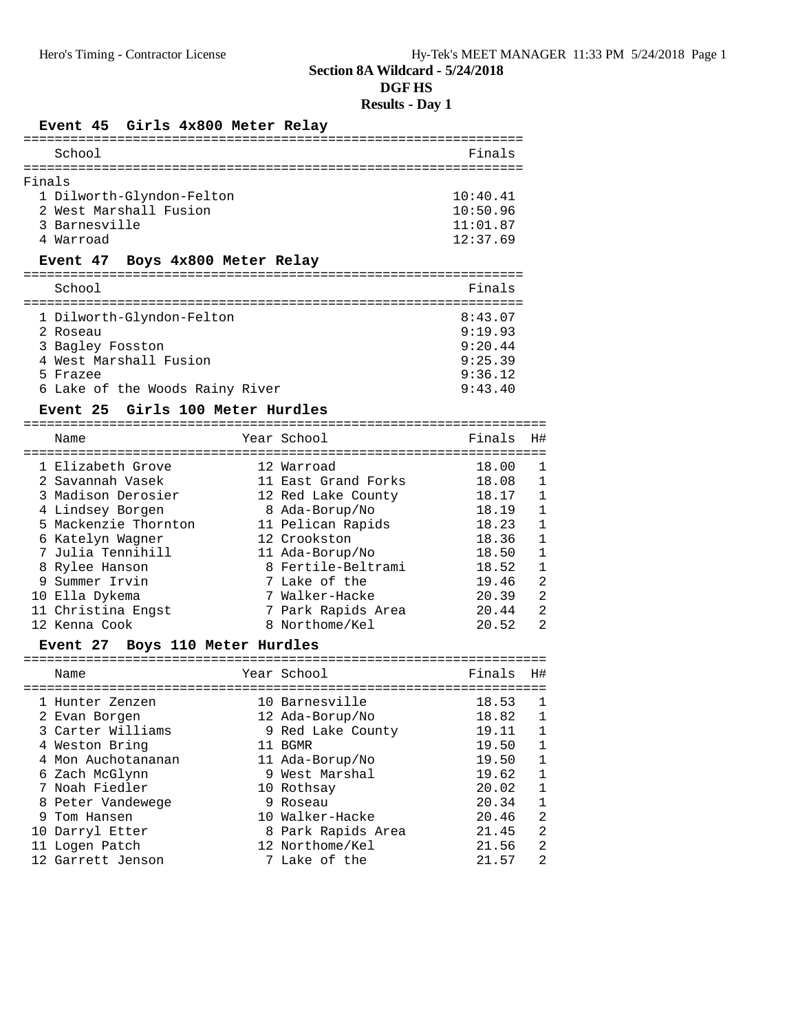# **DGF HS**

# **Results - Day 1**

# Event 45 Girls 4x800 Meter Relay

| School                                                                                                                                                                   |                                                                                                                |                                                                                                                                                                                                                                    | Finals                                                                                                   |                                                                                                                                                                                           |
|--------------------------------------------------------------------------------------------------------------------------------------------------------------------------|----------------------------------------------------------------------------------------------------------------|------------------------------------------------------------------------------------------------------------------------------------------------------------------------------------------------------------------------------------|----------------------------------------------------------------------------------------------------------|-------------------------------------------------------------------------------------------------------------------------------------------------------------------------------------------|
| Finals                                                                                                                                                                   |                                                                                                                |                                                                                                                                                                                                                                    |                                                                                                          |                                                                                                                                                                                           |
| 3 Barnesville<br>4 Warroad                                                                                                                                               | 1 Dilworth-Glyndon-Felton<br>2 West Marshall Fusion                                                            |                                                                                                                                                                                                                                    | 10:40.41<br>10:50.96<br>11:01.87<br>12:37.69                                                             |                                                                                                                                                                                           |
|                                                                                                                                                                          | Event 47 Boys 4x800 Meter Relay                                                                                |                                                                                                                                                                                                                                    |                                                                                                          |                                                                                                                                                                                           |
| School                                                                                                                                                                   |                                                                                                                |                                                                                                                                                                                                                                    | Finals                                                                                                   |                                                                                                                                                                                           |
| 2 Roseau<br>3 Bagley Fosston<br>5 Frazee                                                                                                                                 | 1 Dilworth-Glyndon-Felton<br>4 West Marshall Fusion<br>6 Lake of the Woods Rainy River                         |                                                                                                                                                                                                                                    | 8:43.07<br>9:19.93<br>9:20.44<br>9:25.39<br>9:36.12<br>9:43.40                                           |                                                                                                                                                                                           |
| Name                                                                                                                                                                     | Event 25 Girls 100 Meter Hurdles                                                                               | Year School                                                                                                                                                                                                                        | Finals                                                                                                   | H#                                                                                                                                                                                        |
| 2 Savannah Vasek<br>4 Lindsey Borgen<br>6 Katelyn Wagner<br>8 Rylee Hanson<br>9 Summer Irvin<br>10 Ella Dykema<br>11 Christina Engst<br>12 Kenna Cook<br><b>Event 27</b> | 1 Elizabeth Grove<br>3 Madison Derosier<br>5 Mackenzie Thornton<br>7 Julia Tennihill<br>Boys 110 Meter Hurdles | 12 Warroad<br>11 East Grand Forks<br>12 Red Lake County<br>8 Ada-Borup/No<br>11 Pelican Rapids<br>12 Crookston<br>11 Ada-Borup/No<br>8 Fertile-Beltrami<br>7 Lake of the<br>7 Walker-Hacke<br>7 Park Rapids Area<br>8 Northome/Kel | 18.00<br>18.08<br>18.17<br>18.19<br>18.23<br>18.36<br>18.50<br>18.52<br>19.46<br>20.39<br>20.44<br>20.52 | 1<br>$\mathbf{1}$<br>$\mathbf{1}$<br>$\mathbf{1}$<br>$\mathbf{1}$<br>$\mathbf{1}$<br>$\mathbf{1}$<br>$\mathbf{1}$<br>$\overline{a}$<br>$\overline{a}$<br>$\overline{a}$<br>$\overline{2}$ |
| Name                                                                                                                                                                     |                                                                                                                | Year School                                                                                                                                                                                                                        | Finals                                                                                                   | H#                                                                                                                                                                                        |

| Name               | Year School        | Finals | H#           |
|--------------------|--------------------|--------|--------------|
| 1 Hunter Zenzen    | 10 Barnesville     | 18.53  |              |
| 2 Evan Borgen      | 12 Ada-Borup/No    | 18.82  | 1            |
| 3 Carter Williams  | 9 Red Lake County  | 19.11  |              |
| 4 Weston Bring     | 11 BGMR            | 19.50  | 1            |
| 4 Mon Auchotananan | 11 Ada-Borup/No    | 19.50  | $\mathbf{1}$ |
| 6 Zach McGlynn     | 9 West Marshal     | 19.62  | $\mathbf{1}$ |
| 7 Noah Fiedler     | 10 Rothsay         | 20.02  | $\mathbf{1}$ |
| 8 Peter Vandewege  | 9 Roseau           | 20.34  | $\mathbf{1}$ |
| 9 Tom Hansen       | 10 Walker-Hacke    | 20.46  | 2            |
| 10 Darryl Etter    | 8 Park Rapids Area | 21.45  | 2            |
| 11 Logen Patch     | 12 Northome/Kel    | 21.56  | 2            |
| 12 Garrett Jenson  | 7 Lake of the      | 21.57  | 2            |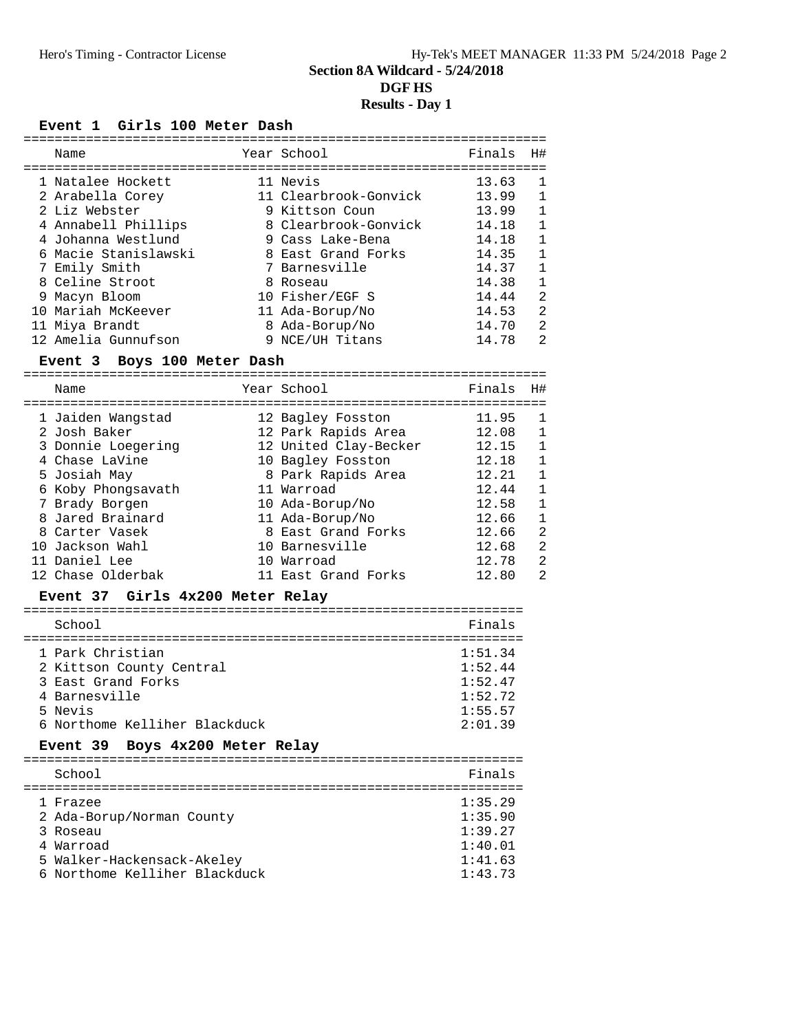#### Event 1 Girls 100 Meter Dash

| Name                 | Year School           | Finals | H#             |
|----------------------|-----------------------|--------|----------------|
| 1 Natalee Hockett    | 11 Nevis              | 13.63  | -1             |
| 2 Arabella Corey     | 11 Clearbrook-Gonvick | 13.99  | $\mathbf{1}$   |
| 2 Liz Webster        | 9 Kittson Coun        | 13.99  | $\mathbf{1}$   |
| 4 Annabell Phillips  | 8 Clearbrook-Gonvick  | 14.18  | $\mathbf{1}$   |
| 4 Johanna Westlund   | 9 Cass Lake-Bena      | 14.18  | $\mathbf{1}$   |
| 6 Macie Stanislawski | 8 East Grand Forks    | 14.35  | $\mathbf{1}$   |
| 7 Emily Smith        | 7 Barnesville         | 14.37  |                |
| 8 Celine Stroot      | 8 Roseau              | 14.38  | $\mathbf{1}$   |
| 9 Macyn Bloom        | 10 Fisher/EGF S       | 14.44  | $\mathfrak{D}$ |
| 10 Mariah McKeever   | 11 Ada-Borup/No       | 14.53  | 2              |
| 11 Miya Brandt       | 8 Ada-Borup/No        | 14.70  | $\mathfrak{D}$ |
| 12 Amelia Gunnufson  | 9 NCE/UH Titans       | 14.78  | 2              |

#### **Event 3 Boys 100 Meter Dash**

|  | Name                              | Year School                              | Finals         | H#                |
|--|-----------------------------------|------------------------------------------|----------------|-------------------|
|  | 1 Jaiden Wangstad<br>2 Josh Baker | 12 Bagley Fosston<br>12 Park Rapids Area | 11.95<br>12.08 | $\mathbf{1}$<br>1 |
|  | 3 Donnie Loegering                | 12 United Clay-Becker                    | 12.15          | $\mathbf{1}$      |
|  | 4 Chase LaVine                    | 10 Bagley Fosston                        | 12.18          | $\mathbf{1}$      |
|  | 5 Josiah May                      | 8 Park Rapids Area                       | 12.21          | 1                 |
|  | 6 Koby Phongsavath                | 11 Warroad                               | 12.44          | $\mathbf{1}$      |
|  | 7 Brady Borgen                    | 10 Ada-Borup/No                          | 12.58          | $\mathbf{1}$      |
|  | 8 Jared Brainard                  | 11 Ada-Borup/No                          | 12.66          | $\mathbf{1}$      |
|  | 8 Carter Vasek                    | 8 East Grand Forks                       | 12.66          | 2                 |
|  | 10 Jackson Wahl                   | 10 Barnesville                           | 12.68          | 2                 |
|  | 11 Daniel Lee                     | 10 Warroad                               | 12.78          | 2                 |
|  | 12 Chase Olderbak                 | 11 East Grand Forks                      | 12.80          | $\mathfrak{D}$    |
|  |                                   |                                          |                |                   |

#### **Event 37 Girls 4x200 Meter Relay**

| School                                                                                                                          | Finals                                                         |
|---------------------------------------------------------------------------------------------------------------------------------|----------------------------------------------------------------|
| 1 Park Christian<br>2 Kittson County Central<br>3 East Grand Forks<br>4 Barnesville<br>5 Nevis<br>6 Northome Kelliher Blackduck | 1:51.34<br>1:52.44<br>1:52.47<br>1:52.72<br>1:55.57<br>2:01.39 |
|                                                                                                                                 |                                                                |

#### **Event 39 Boys 4x200 Meter Relay**

| School                                                                                                                        | Finals                                                         |
|-------------------------------------------------------------------------------------------------------------------------------|----------------------------------------------------------------|
| 1 Frazee<br>2 Ada-Borup/Norman County<br>3 Roseau<br>4 Warroad<br>5 Walker-Hackensack-Akeley<br>6 Northome Kelliher Blackduck | 1:35.29<br>1:35.90<br>1:39.27<br>1:40.01<br>1:41.63<br>1:43.73 |
|                                                                                                                               |                                                                |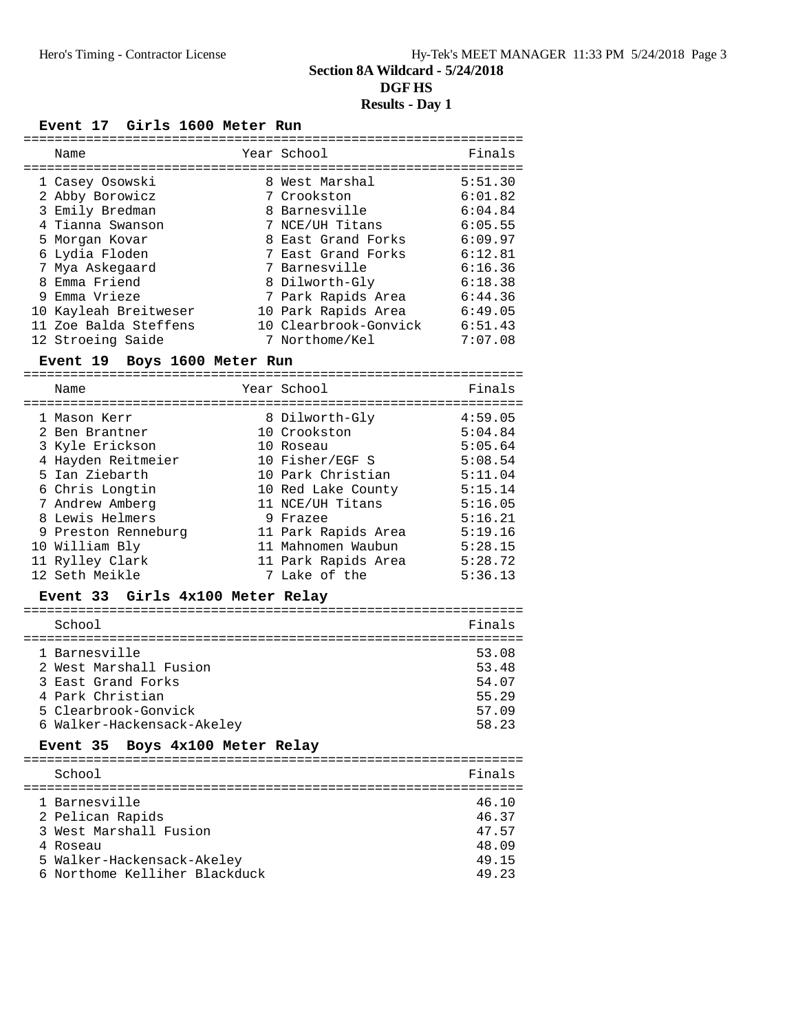| Event 17 Girls 1600 Meter Run                                                                                                                                                                                        |                                                                                                                                                                                                                        |                                                                                                                       |
|----------------------------------------------------------------------------------------------------------------------------------------------------------------------------------------------------------------------|------------------------------------------------------------------------------------------------------------------------------------------------------------------------------------------------------------------------|-----------------------------------------------------------------------------------------------------------------------|
| Name                                                                                                                                                                                                                 | Year School                                                                                                                                                                                                            | Finals                                                                                                                |
| 1 Casey Osowski<br>2 Abby Borowicz<br>3 Emily Bredman<br>4 Tianna Swanson<br>5 Morgan Kovar<br>6 Lydia Floden<br>7 Mya Askegaard<br>8 Emma Friend<br>9 Emma Vrieze<br>10 Kayleah Breitweser<br>11 Zoe Balda Steffens | 8 West Marshal<br>7 Crookston<br>8 Barnesville<br>7 NCE/UH Titans<br>8 East Grand Forks<br>7 East Grand Forks<br>7 Barnesville<br>8 Dilworth-Gly<br>7 Park Rapids Area<br>10 Park Rapids Area<br>10 Clearbrook-Gonvick | 5:51.30<br>6:01.82<br>6:04.84<br>6:05.55<br>6:09.97<br>6:12.81<br>6:16.36<br>6:18.38<br>6:44.36<br>6:49.05<br>6:51.43 |
| 12 Stroeing Saide                                                                                                                                                                                                    | 7 Northome/Kel                                                                                                                                                                                                         | 7:07.08                                                                                                               |

# **Event 19 Boys 1600 Meter Run**

| Name                                                                                                                            | Year School                                                                                                                   | Finals                                                                    |
|---------------------------------------------------------------------------------------------------------------------------------|-------------------------------------------------------------------------------------------------------------------------------|---------------------------------------------------------------------------|
| 1 Mason Kerr<br>2 Ben Brantner<br>3 Kyle Erickson<br>4 Hayden Reitmeier<br>5 Ian Ziebarth<br>6 Chris Longtin<br>7 Andrew Amberg | 8 Dilworth-Gly<br>10 Crookston<br>10 Roseau<br>10 Fisher/EGF S<br>10 Park Christian<br>10 Red Lake County<br>11 NCE/UH Titans | 4:59.05<br>5:04.84<br>5:05.64<br>5:08.54<br>5:11.04<br>5:15.14<br>5:16.05 |
| 8 Lewis Helmers<br>9 Preston Renneburg<br>10 William Bly<br>11 Rylley Clark<br>12 Seth Meikle                                   | 9 Frazee<br>11 Park Rapids Area<br>11 Mahnomen Waubun<br>11 Park Rapids Area<br>7 Lake of the                                 | 5:16.21<br>5:19.16<br>5:28.15<br>5:28.72<br>5:36.13                       |

## **Event 33 Girls 4x100 Meter Relay**

| School                                                                                                                                  | Finals                                             |
|-----------------------------------------------------------------------------------------------------------------------------------------|----------------------------------------------------|
| 1 Barnesville<br>2 West Marshall Fusion<br>3 East Grand Forks<br>4 Park Christian<br>5 Clearbrook-Gonvick<br>6 Walker-Hackensack-Akeley | 53.08<br>53.48<br>54.07<br>55.29<br>57.09<br>58.23 |
|                                                                                                                                         |                                                    |

### **Event 35 Boys 4x100 Meter Relay**

| School                                                                                                                                 | Finals                                             |
|----------------------------------------------------------------------------------------------------------------------------------------|----------------------------------------------------|
| 1 Barnesville<br>2 Pelican Rapids<br>3 West Marshall Fusion<br>4 Roseau<br>5 Walker-Hackensack-Akeley<br>6 Northome Kelliher Blackduck | 46.10<br>46.37<br>47.57<br>48.09<br>49.15<br>49.23 |
|                                                                                                                                        |                                                    |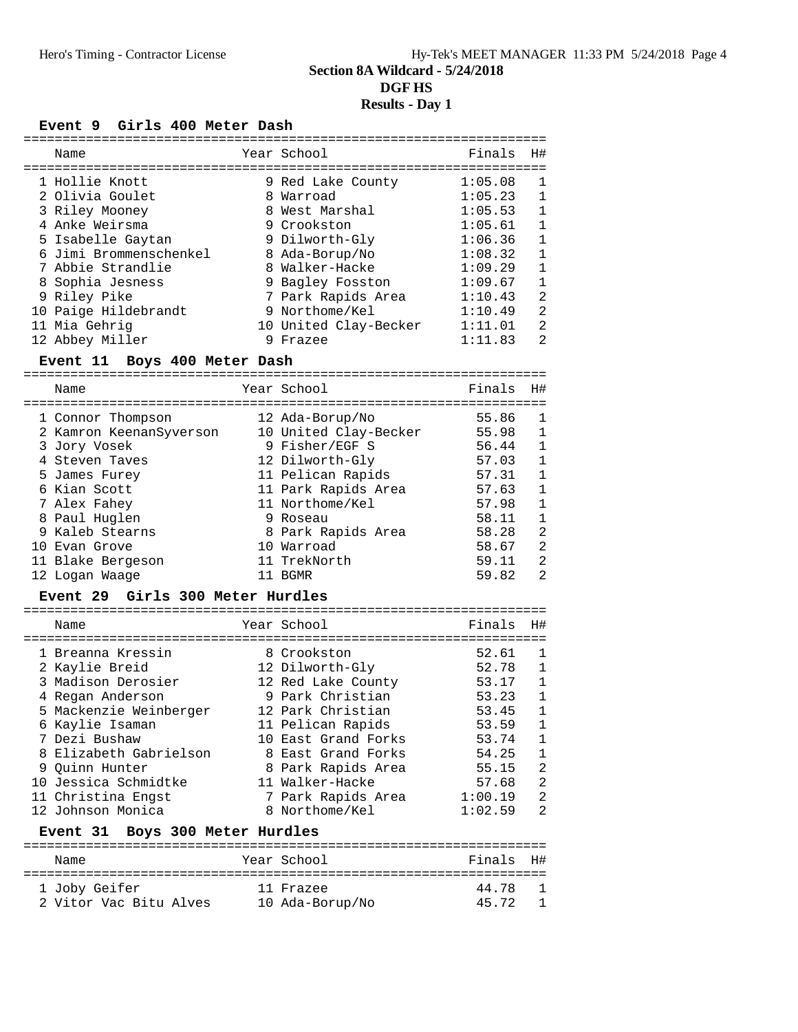#### Event 9 Girls 400 Meter Dash

|  | Name                   | Year School           | Finals  | H#           |
|--|------------------------|-----------------------|---------|--------------|
|  | 1 Hollie Knott         | 9 Red Lake County     | 1:05.08 | $\mathbf{1}$ |
|  | 2 Olivia Goulet        | 8 Warroad             | 1:05.23 | 1            |
|  | 3 Riley Mooney         | 8 West Marshal        | 1:05.53 | $\mathbf{1}$ |
|  | 4 Anke Weirsma         | 9 Crookston           | 1:05.61 | 1            |
|  | 5 Isabelle Gaytan      | 9 Dilworth-Gly        | 1:06.36 | $\mathbf{1}$ |
|  | 6 Jimi Brommenschenkel | 8 Ada-Borup/No        | 1:08.32 | 1            |
|  | 7 Abbie Strandlie      | 8 Walker-Hacke        | 1:09.29 | $\mathbf{1}$ |
|  | 8 Sophia Jesness       | 9 Bagley Fosston      | 1:09.67 | $\mathbf{1}$ |
|  | 9 Riley Pike           | 7 Park Rapids Area    | 1:10.43 | 2            |
|  | 10 Paige Hildebrandt   | 9 Northome/Kel        | 1:10.49 | 2            |
|  | 11 Mia Gehrig          | 10 United Clay-Becker | 1:11.01 | 2            |
|  | 12 Abbey Miller        | Frazee                | 1:11.83 | 2            |

#### **Event 11 Boys 400 Meter Dash**

| Name                    | Year School           | Finals | H#           |
|-------------------------|-----------------------|--------|--------------|
|                         |                       |        |              |
| 1 Connor Thompson       | 12 Ada-Borup/No       | 55.86  | 1            |
| 2 Kamron KeenanSyverson | 10 United Clay-Becker | 55.98  | 1            |
| 3 Jory Vosek            | 9 Fisher/EGF S        | 56.44  | 1            |
| 4 Steven Taves          | 12 Dilworth-Gly       | 57.03  | $\mathbf{1}$ |
| 5 James Furey           | 11 Pelican Rapids     | 57.31  | 1            |
| 6 Kian Scott            | 11 Park Rapids Area   | 57.63  | 1            |
| 7 Alex Fahey            | 11 Northome/Kel       | 57.98  | 1            |
| 8 Paul Huglen           | 9 Roseau              | 58.11  | 1            |
| 9 Kaleb Stearns         | 8 Park Rapids Area    | 58.28  | 2            |
| 10 Evan Grove           | 10 Warroad            | 58.67  | 2            |
| 11 Blake Bergeson       | 11 TrekNorth          | 59.11  | 2            |
| 12 Logan Waage          | BGMR                  | 59.82  | 2            |

#### **Event 29 Girls 300 Meter Hurdles**

|  | Name                            |  | Year School                               | Finals  | H#             |  |  |  |
|--|---------------------------------|--|-------------------------------------------|---------|----------------|--|--|--|
|  |                                 |  |                                           |         |                |  |  |  |
|  | 1 Breanna Kressin               |  | 8 Crookston                               | 52.61   | 1              |  |  |  |
|  | 2 Kaylie Breid                  |  | 12 Dilworth-Gly                           | 52.78   | 1              |  |  |  |
|  | 3 Madison Derosier              |  | 12 Red Lake County                        | 53.17   | $\mathbf{1}$   |  |  |  |
|  | 4 Regan Anderson                |  | 9 Park Christian                          | 53.23   | $\mathbf{1}$   |  |  |  |
|  | 5 Mackenzie Weinberger          |  | 12 Park Christian                         | 53.45   | $\mathbf{1}$   |  |  |  |
|  | 6 Kaylie Isaman                 |  | 11 Pelican Rapids                         | 53.59   | 1              |  |  |  |
|  | 7 Dezi Bushaw                   |  | 10 East Grand Forks                       | 53.74   | 1              |  |  |  |
|  | 8 Elizabeth Gabrielson          |  | 8 East Grand Forks                        | 54.25   | $\mathbf{1}$   |  |  |  |
|  | 9 Quinn Hunter                  |  | 8 Park Rapids Area                        | 55.15   | 2              |  |  |  |
|  | 10 Jessica Schmidtke            |  | 11 Walker-Hacke                           | 57.68   | 2              |  |  |  |
|  | 11 Christina Engst              |  | 7 Park Rapids Area                        | 1:00.19 | 2              |  |  |  |
|  | 12 Johnson Monica               |  | 8 Northome/Kel                            | 1:02.59 | $\mathfrak{D}$ |  |  |  |
|  | Event 31 Boys 300 Meter Hurdles |  |                                           |         |                |  |  |  |
|  | $-$                             |  | $\sim$ $\sim$ $\sim$ $\sim$ $\sim$ $\sim$ | - '     | $- - 11$       |  |  |  |

| Name                   | Year School     | Finals H# |
|------------------------|-----------------|-----------|
|                        |                 |           |
| 1 Joby Geifer          | 11 Frazee       | 44.78     |
| 2 Vitor Vac Bitu Alves | 10 Ada-Borup/No | 45.72 1   |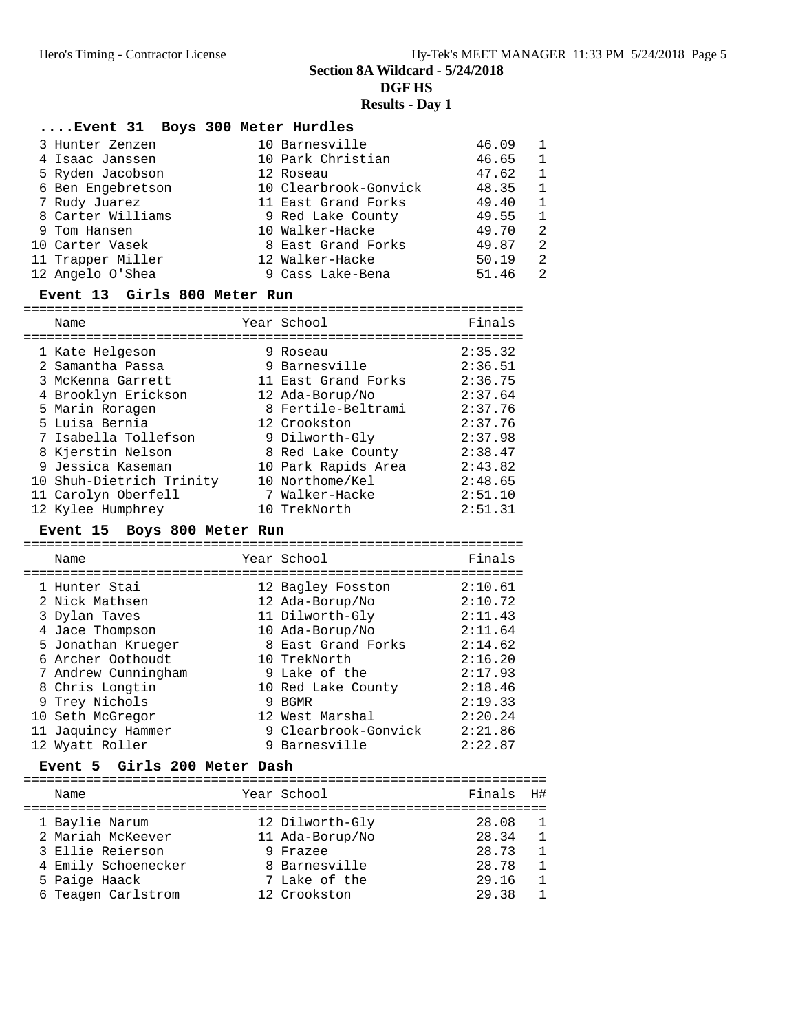**Section 8A Wildcard - 5/24/2018**

**DGF HS**

### **Results - Day 1**

#### **....Event 31 Boys 300 Meter Hurdles**

| 3 Hunter Zenzen   | 10 Barnesville        | 46.09 | $\overline{1}$ |
|-------------------|-----------------------|-------|----------------|
| 4 Isaac Janssen   | 10 Park Christian     | 46.65 | -1             |
| 5 Ryden Jacobson  | 12 Roseau             | 47.62 | $\overline{1}$ |
| 6 Ben Engebretson | 10 Clearbrook-Gonvick | 48.35 | $\mathbf{1}$   |
| 7 Rudy Juarez     | 11 East Grand Forks   | 49.40 | -1             |
| 8 Carter Williams | 9 Red Lake County     | 49.55 | - 1            |
| 9 Tom Hansen      | 10 Walker-Hacke       | 49.70 | $\overline{2}$ |
| 10 Carter Vasek   | 8 East Grand Forks    | 49.87 | - 2            |
| 11 Trapper Miller | 12 Walker-Hacke       | 50.19 | - 2            |
| 12 Angelo O'Shea  | 9 Cass Lake-Bena      | 51.46 | - 2.           |

#### **Event 13 Girls 800 Meter Run**

| Name                     | Year School         | Finals  |
|--------------------------|---------------------|---------|
| 1 Kate Helgeson          | 9 Roseau            | 2:35.32 |
| 2 Samantha Passa         | 9 Barnesville       | 2:36.51 |
| 3 McKenna Garrett        | 11 East Grand Forks | 2:36.75 |
| 4 Brooklyn Erickson      | 12 Ada-Borup/No     | 2:37.64 |
| 5 Marin Roragen          | 8 Fertile-Beltrami  | 2:37.76 |
| 5 Luisa Bernia           | 12 Crookston        | 2:37.76 |
| 7 Isabella Tollefson     | 9 Dilworth-Gly      | 2:37.98 |
| 8 Kjerstin Nelson        | 8 Red Lake County   | 2:38.47 |
| 9 Jessica Kaseman        | 10 Park Rapids Area | 2:43.82 |
| 10 Shuh-Dietrich Trinity | 10 Northome/Kel     | 2:48.65 |
| 11 Carolyn Oberfell      | 7 Walker-Hacke      | 2:51.10 |
| 12 Kylee Humphrey        | 10 TrekNorth        | 2:51.31 |

#### **Event 15 Boys 800 Meter Run**

| Name                                                                                                                                                                                                                 | Year School                                                                                                                                                                                                  | Finals                                                                                                                |
|----------------------------------------------------------------------------------------------------------------------------------------------------------------------------------------------------------------------|--------------------------------------------------------------------------------------------------------------------------------------------------------------------------------------------------------------|-----------------------------------------------------------------------------------------------------------------------|
| 1 Hunter Stai<br>2 Nick Mathsen<br>3 Dylan Taves<br>4 Jace Thompson<br>5 Jonathan Krueger<br>6 Archer Oothoudt<br>7 Andrew Cunningham<br>8 Chris Longtin<br>9 Trey Nichols<br>10 Seth McGregor<br>11 Jaquincy Hammer | 12 Bagley Fosston<br>12 Ada-Borup/No<br>11 Dilworth-Gly<br>10 Ada-Borup/No<br>8 East Grand Forks<br>10 TrekNorth<br>9 Lake of the<br>10 Red Lake County<br>9 BGMR<br>12 West Marshal<br>9 Clearbrook-Gonvick | 2:10.61<br>2:10.72<br>2:11.43<br>2:11.64<br>2:14.62<br>2:16.20<br>2:17.93<br>2:18.46<br>2:19.33<br>2:20.24<br>2:21.86 |
| 12 Wyatt Roller                                                                                                                                                                                                      | 9 Barnesville                                                                                                                                                                                                | 2:22.87                                                                                                               |

#### **Event 5 Girls 200 Meter Dash**

| Name                | Year School     | Finals | H#             |
|---------------------|-----------------|--------|----------------|
| 1 Baylie Narum      | 12 Dilworth-Gly | 28.08  | $\overline{1}$ |
| 2 Mariah McKeever   | 11 Ada-Borup/No | 28.34  | $\mathbf{1}$   |
| 3 Ellie Reierson    | 9 Frazee        | 28.73  | $\overline{1}$ |
| 4 Emily Schoenecker | 8 Barnesville   | 28.78  | $\mathbf{1}$   |
| 5 Paige Haack       | 7 Lake of the   | 29.16  | $\mathbf{1}$   |
| 6 Teagen Carlstrom  | 12 Crookston    | 29.38  | -1             |
|                     |                 |        |                |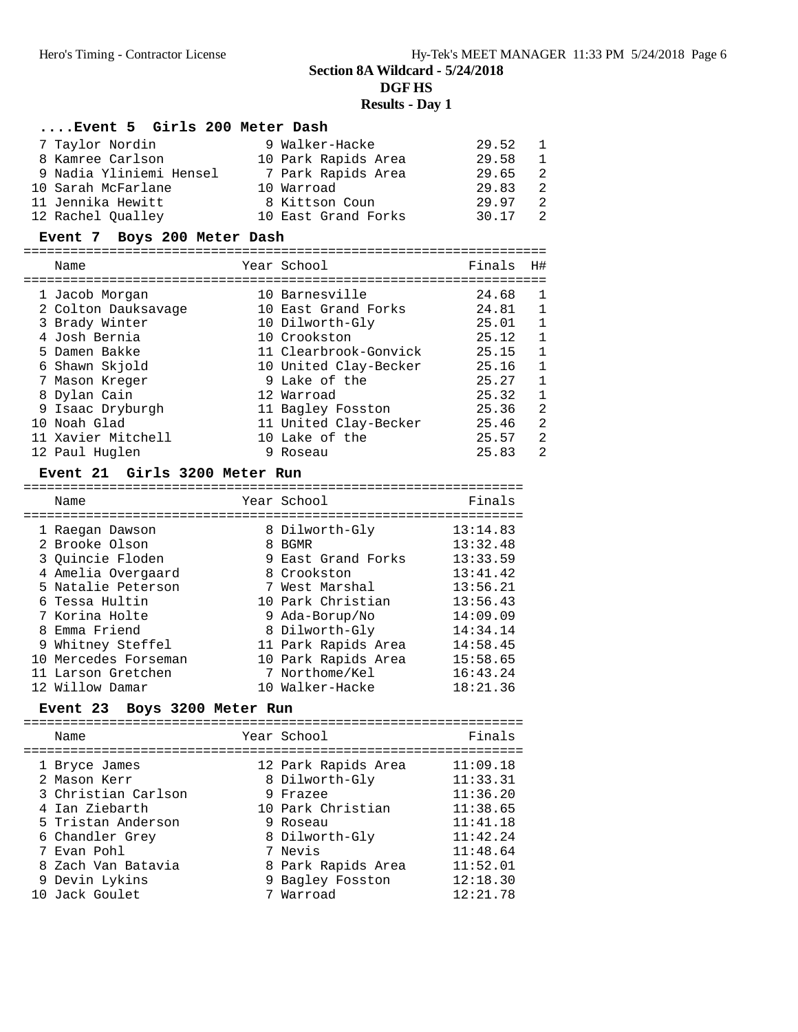**Section 8A Wildcard - 5/24/2018**

#### **DGF HS**

#### **Results - Day 1**

# **....Event 5 Girls 200 Meter Dash**

| 7 Taylor Nordin         | 9 Walker-Hacke      | 29.52 | $\overline{1}$ |
|-------------------------|---------------------|-------|----------------|
| 8 Kamree Carlson        | 10 Park Rapids Area | 29.58 | $\overline{1}$ |
| 9 Nadia Yliniemi Hensel | 7 Park Rapids Area  | 29.65 | 2              |
| 10 Sarah McFarlane      | 10 Warroad          | 29.83 | 2              |
| 11 Jennika Hewitt       | 8 Kittson Coun      | 29.97 | 2              |
| 12 Rachel Oualley       | 10 East Grand Forks | 30.17 | $\overline{2}$ |
|                         |                     |       |                |

#### **Event 7 Boys 200 Meter Dash**

| Name |                                                                                                                                                                                                                           | Finals                                                                                                                                                                                                                                             | H#             |
|------|---------------------------------------------------------------------------------------------------------------------------------------------------------------------------------------------------------------------------|----------------------------------------------------------------------------------------------------------------------------------------------------------------------------------------------------------------------------------------------------|----------------|
|      |                                                                                                                                                                                                                           | 24.68                                                                                                                                                                                                                                              | 1              |
|      |                                                                                                                                                                                                                           | 24.81                                                                                                                                                                                                                                              | 1              |
|      |                                                                                                                                                                                                                           | 25.01                                                                                                                                                                                                                                              | 1              |
|      |                                                                                                                                                                                                                           | 25.12                                                                                                                                                                                                                                              | $\mathbf{1}$   |
|      |                                                                                                                                                                                                                           | 25.15                                                                                                                                                                                                                                              | 1              |
|      |                                                                                                                                                                                                                           | 25.16                                                                                                                                                                                                                                              | 1              |
|      |                                                                                                                                                                                                                           | 25.27                                                                                                                                                                                                                                              | 1              |
|      |                                                                                                                                                                                                                           | 25.32                                                                                                                                                                                                                                              | $\mathbf{1}$   |
|      |                                                                                                                                                                                                                           | 25.36                                                                                                                                                                                                                                              | $\overline{2}$ |
|      |                                                                                                                                                                                                                           | 25.46                                                                                                                                                                                                                                              | 2              |
|      |                                                                                                                                                                                                                           | 25.57                                                                                                                                                                                                                                              | 2              |
|      |                                                                                                                                                                                                                           | 25.83                                                                                                                                                                                                                                              | 2              |
|      | 1 Jacob Morgan<br>2 Colton Dauksavage<br>3 Brady Winter<br>4 Josh Bernia<br>5 Damen Bakke<br>6 Shawn Skjold<br>7 Mason Kreger<br>8 Dylan Cain<br>9 Isaac Dryburgh<br>10 Noah Glad<br>11 Xavier Mitchell<br>12 Paul Huglen | Year School<br>10 Barnesville<br>10 East Grand Forks<br>10 Dilworth-Gly<br>10 Crookston<br>11 Clearbrook-Gonvick<br>10 United Clay-Becker<br>9 Lake of the<br>12 Warroad<br>11 Bagley Fosston<br>11 United Clay-Becker<br>10 Lake of the<br>Roseau |                |

#### **Event 21 Girls 3200 Meter Run**

| Name                 | Year School         | Finals   |
|----------------------|---------------------|----------|
| 1 Raegan Dawson      | 8 Dilworth-Gly      | 13:14.83 |
| 2 Brooke Olson       | 8 BGMR              | 13:32.48 |
| 3 Ouincie Floden     | 9 East Grand Forks  | 13:33.59 |
| 4 Amelia Overgaard   | 8 Crookston         | 13:41.42 |
| 5 Natalie Peterson   | 7 West Marshal      | 13:56.21 |
| 6 Tessa Hultin       | 10 Park Christian   | 13:56.43 |
| 7 Korina Holte       | 9 Ada-Borup/No      | 14:09.09 |
| 8 Emma Friend        | 8 Dilworth-Gly      | 14:34.14 |
| 9 Whitney Steffel    | 11 Park Rapids Area | 14:58.45 |
| 10 Mercedes Forseman | 10 Park Rapids Area | 15:58.65 |
| 11 Larson Gretchen   | 7 Northome/Kel      | 16:43.24 |
| 12 Willow Damar      | 10 Walker-Hacke     | 18:21.36 |

#### **Event 23 Boys 3200 Meter Run**

|  | Name                                                                                                                                                                   | Year School                                                                                                                                               | Finals                                                                                                   |
|--|------------------------------------------------------------------------------------------------------------------------------------------------------------------------|-----------------------------------------------------------------------------------------------------------------------------------------------------------|----------------------------------------------------------------------------------------------------------|
|  | 1 Bryce James<br>2 Mason Kerr<br>3 Christian Carlson<br>4 Ian Ziebarth<br>5 Tristan Anderson<br>6 Chandler Grey<br>7 Evan Pohl<br>8 Zach Van Batavia<br>9 Devin Lykins | 12 Park Rapids Area<br>8 Dilworth-Gly<br>9 Frazee<br>10 Park Christian<br>9 Roseau<br>8 Dilworth-Gly<br>7 Nevis<br>8 Park Rapids Area<br>9 Bagley Fosston | 11:09.18<br>11:33.31<br>11:36.20<br>11:38.65<br>11:41.18<br>11:42.24<br>11:48.64<br>11:52.01<br>12:18.30 |
|  | 10 Jack Goulet                                                                                                                                                         | 7 Warroad                                                                                                                                                 | 12:21.78                                                                                                 |
|  |                                                                                                                                                                        |                                                                                                                                                           |                                                                                                          |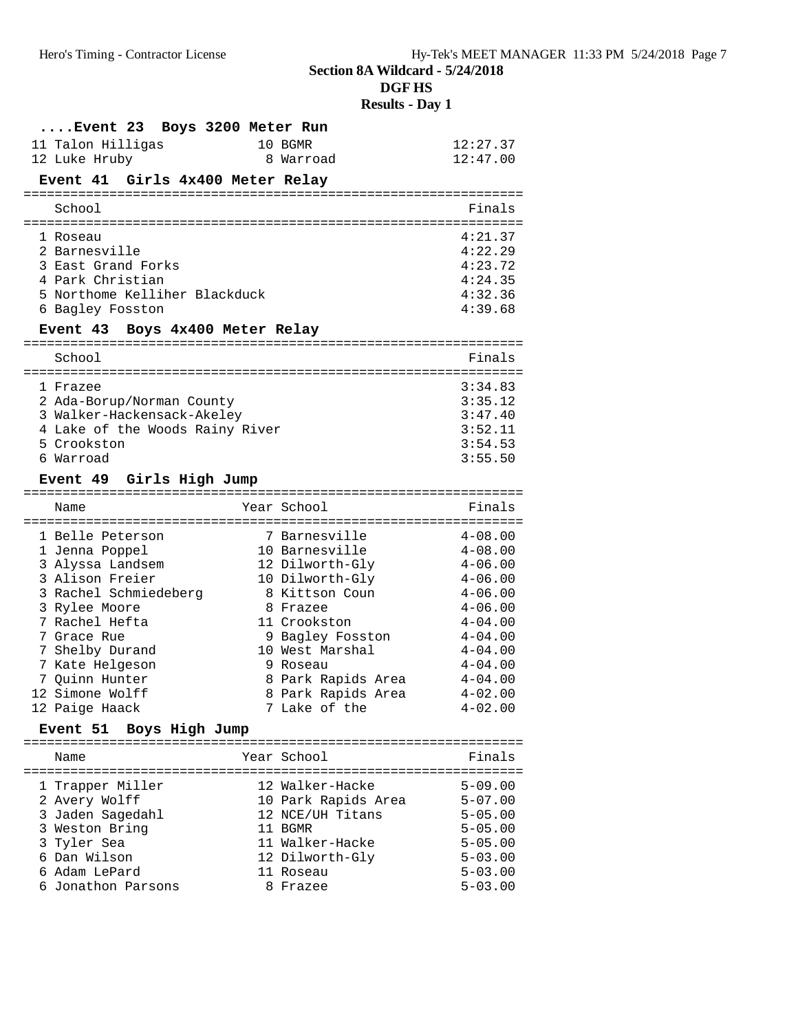**Results - Day 1**

| $\ldots$ . Event 23                          | Boys 3200 Meter Run |                                         |                            |
|----------------------------------------------|---------------------|-----------------------------------------|----------------------------|
| 11 Talon Hilligas                            |                     | 10 BGMR                                 | 12:27.37                   |
| 12 Luke Hruby                                |                     | 8 Warroad                               | 12:47.00                   |
| Event 41 Girls 4x400 Meter Relay             |                     |                                         |                            |
| School                                       |                     |                                         | Finals                     |
| l Roseau                                     |                     |                                         | 4:21.37                    |
| 2 Barnesville                                |                     |                                         | 4:22.29                    |
| 3 East Grand Forks                           |                     |                                         | 4:23.72                    |
| 4 Park Christian                             |                     |                                         | 4:24.35                    |
| 5 Northome Kelliher Blackduck                |                     |                                         | 4:32.36                    |
| 6 Bagley Fosston                             |                     |                                         | 4:39.68                    |
| Event 43 Boys 4x400 Meter Relay              |                     |                                         |                            |
| School                                       |                     |                                         | Finals                     |
| 1 Frazee                                     |                     |                                         | 3:34.83                    |
| 2 Ada-Borup/Norman County                    |                     |                                         | 3:35.12                    |
| 3 Walker-Hackensack-Akeley                   |                     |                                         | 3:47.40                    |
| 4 Lake of the Woods Rainy River              |                     |                                         | 3:52.11                    |
| 5 Crookston                                  |                     |                                         | 3:54.53                    |
| 6 Warroad                                    |                     |                                         | 3:55.50                    |
| Event 49 Girls High Jump                     |                     |                                         |                            |
| ===============================              |                     |                                         |                            |
| Name                                         |                     | Year School                             | Finals                     |
|                                              |                     |                                         |                            |
| 1 Belle Peterson                             |                     | 7 Barnesville                           | $4 - 08.00$                |
| 1 Jenna Poppel                               |                     | 10 Barnesville                          | $4 - 08.00$                |
| 3 Alyssa Landsem                             |                     | 12 Dilworth-Gly                         | $4 - 06.00$                |
| 3 Alison Freier                              |                     | 10 Dilworth-Gly                         | $4 - 06.00$                |
| 3 Rachel Schmiedeberg                        |                     | 8 Kittson Coun                          | $4 - 06.00$                |
| 3 Rylee Moore                                |                     | 8 Frazee                                | $4 - 06.00$                |
| 7 Rachel Hefta                               |                     | 11 Crookston                            | $4 - 04.00$                |
| 7 Grace Rue                                  |                     | 9 Bagley Fosston                        | $4 - 04.00$                |
| 7 Shelby Durand                              |                     | 10 West Marshal                         | $4 - 04.00$                |
| 7 Kate Helgeson                              |                     | 9 Roseau                                | $4 - 04.00$                |
| 7 Quinn Hunter                               |                     | 8 Park Rapids Area                      | $4 - 04.00$                |
| 12 Simone Wolff                              |                     | 8 Park Rapids Area                      | $4 - 02.00$                |
| 12 Paige Haack<br>Boys High Jump<br>Event 51 |                     | 7 Lake of the                           | $4 - 02.00$                |
|                                              |                     |                                         |                            |
| Name                                         |                     | Year School                             | Finals                     |
|                                              |                     | 12 Walker-Hacke                         |                            |
| 1 Trapper Miller                             |                     |                                         | $5 - 09.00$<br>$5 - 07.00$ |
| 2 Avery Wolff                                |                     | 10 Park Rapids Area<br>12 NCE/UH Titans | $5 - 05.00$                |
| 3 Jaden Sagedahl<br>3 Weston Bring           |                     | 11 BGMR                                 | $5 - 05.00$                |
| 3 Tyler Sea                                  |                     | 11 Walker-Hacke                         | $5 - 05.00$                |
| 6 Dan Wilson                                 |                     | 12 Dilworth-Gly                         | $5 - 03.00$                |
| 6 Adam LePard<br>6 Jonathon Parsons          |                     | 11 Roseau                               | $5 - 03.00$<br>$5 - 03.00$ |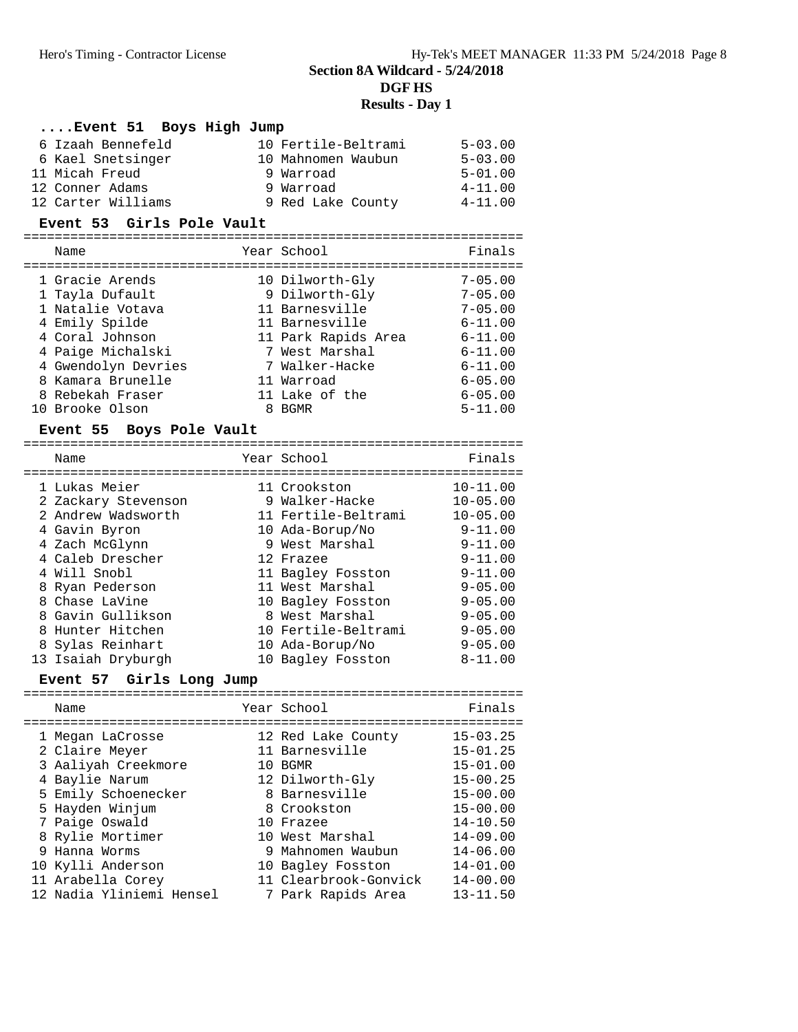# **DGF HS Results - Day 1**

# **....Event 51 Boys High Jump**

| 6 Izaah Bennefeld  | 10 Fertile-Beltrami | $5 - 03.00$ |
|--------------------|---------------------|-------------|
| 6 Kael Snetsinger  | 10 Mahnomen Waubun  | $5 - 03.00$ |
| 11 Micah Freud     | 9 Warroad           | $5 - 01.00$ |
| 12 Conner Adams    | 9 Warroad           | $4 - 11.00$ |
| 12 Carter Williams | 9 Red Lake County   | $4 - 11.00$ |

### **Event 53 Girls Pole Vault**

| Name                                 | Year School                           | Finals                     |
|--------------------------------------|---------------------------------------|----------------------------|
| 1 Gracie Arends<br>1 Tayla Dufault   | 10 Dilworth-Gly<br>9 Dilworth-Gly     | $7 - 05.00$<br>$7 - 05.00$ |
| 1 Natalie Votava                     | 11 Barnesville                        | $7 - 05.00$                |
| 4 Emily Spilde                       | 11 Barnesville                        | $6 - 11.00$                |
| 4 Coral Johnson<br>4 Paige Michalski | 11 Park Rapids Area<br>7 West Marshal | $6 - 11.00$<br>$6 - 11.00$ |
| 4 Gwendolyn Devries                  | 7 Walker-Hacke                        | $6 - 11.00$                |
| 8 Kamara Brunelle                    | 11 Warroad                            | $6 - 05.00$                |
| 8 Rebekah Fraser                     | 11 Lake of the                        | $6 - 05.00$                |
| 10 Brooke Olson                      | 8 BGMR                                | $5 - 11.00$                |

#### **Event 55 Boys Pole Vault**

| Name                | Year School         | Finals       |
|---------------------|---------------------|--------------|
| 1 Lukas Meier       | 11 Crookston        | $10 - 11.00$ |
| 2 Zackary Stevenson | 9 Walker-Hacke      | $10 - 05.00$ |
| 2 Andrew Wadsworth  | 11 Fertile-Beltrami | $10 - 05.00$ |
| 4 Gavin Byron       | 10 Ada-Borup/No     | $9 - 11.00$  |
| 4 Zach McGlynn      | 9 West Marshal      | $9 - 11.00$  |
| 4 Caleb Drescher    | 12 Frazee           | $9 - 11.00$  |
| 4 Will Snobl        | 11 Bagley Fosston   | $9 - 11.00$  |
| 8 Ryan Pederson     | 11 West Marshal     | $9 - 05.00$  |
| 8 Chase LaVine      | 10 Bagley Fosston   | $9 - 05.00$  |
| 8 Gavin Gullikson   | 8 West Marshal      | $9 - 05.00$  |
| 8 Hunter Hitchen    | 10 Fertile-Beltrami | $9 - 05.00$  |
| 8 Sylas Reinhart    | 10 Ada-Borup/No     | $9 - 05.00$  |
| 13 Isaiah Dryburgh  | 10 Bagley Fosston   | $8 - 11.00$  |

# **Event 57 Girls Long Jump**

| Name                                                                                                                                                                                                                   | Year School                                                                                                                                                                                           | Finals                                                                                                                                                                       |
|------------------------------------------------------------------------------------------------------------------------------------------------------------------------------------------------------------------------|-------------------------------------------------------------------------------------------------------------------------------------------------------------------------------------------------------|------------------------------------------------------------------------------------------------------------------------------------------------------------------------------|
| 1 Megan LaCrosse<br>2 Claire Meyer<br>3 Aaliyah Creekmore<br>4 Baylie Narum<br>5 Emily Schoenecker<br>5 Hayden Winjum<br>7 Paige Oswald<br>8 Rylie Mortimer<br>9 Hanna Worms<br>10 Kylli Anderson<br>11 Arabella Corey | 12 Red Lake County<br>11 Barnesville<br>10 BGMR<br>12 Dilworth-Gly<br>8 Barnesville<br>8 Crookston<br>10 Frazee<br>10 West Marshal<br>9 Mahnomen Waubun<br>10 Bagley Fosston<br>11 Clearbrook-Gonvick | $15 - 03.25$<br>$15 - 01.25$<br>$15 - 01.00$<br>$15 - 00.25$<br>$15 - 00.00$<br>$15 - 00.00$<br>$14 - 10.50$<br>$14 - 09.00$<br>$14 - 06.00$<br>$14 - 01.00$<br>$14 - 00.00$ |
| 12 Nadia Yliniemi Hensel                                                                                                                                                                                               | 7 Park Rapids Area                                                                                                                                                                                    | $13 - 11.50$                                                                                                                                                                 |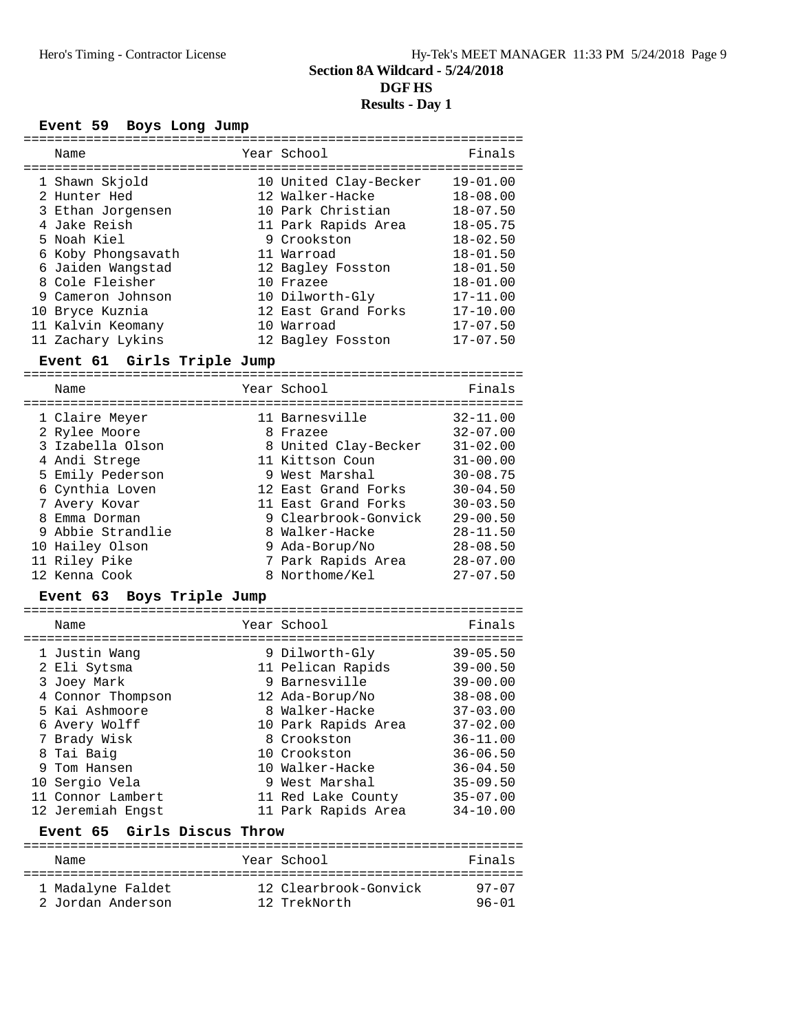|    | <b>Event 59</b><br>Boys Long Jump                   |                                                               |                                              |
|----|-----------------------------------------------------|---------------------------------------------------------------|----------------------------------------------|
|    | Name                                                | Year School                                                   | Finals                                       |
|    | 1 Shawn Skjold<br>2 Hunter Hed<br>3 Ethan Jorgensen | 10 United Clay-Becker<br>12 Walker-Hacke<br>10 Park Christian | $19 - 01.00$<br>$18 - 08.00$<br>$18 - 07.50$ |
|    | 4 Jake Reish<br>5 Noah Kiel                         | 11 Park Rapids Area<br>9 Crookston                            | $18 - 05.75$<br>$18 - 02.50$                 |
|    | 6 Koby Phongsavath<br>6 Jaiden Wangstad             | 11 Warroad<br>12 Bagley Fosston                               | $18 - 01.50$<br>$18 - 01.50$                 |
|    | 8 Cole Fleisher<br>9 Cameron Johnson                | 10 Frazee<br>10 Dilworth-Gly                                  | $18 - 01.00$<br>$17 - 11.00$                 |
| 10 | Bryce Kuznia<br>11 Kalvin Keomany                   | 12 East Grand Forks<br>10 Warroad                             | $17 - 10.00$<br>$17 - 07.50$                 |
|    | 11 Zachary Lykins                                   | 12 Bagley Fosston                                             | $17 - 07.50$                                 |

# **Event 61 Girls Triple Jump**

|   | Name              | Year School          | Finals       |
|---|-------------------|----------------------|--------------|
|   | 1 Claire Meyer    | 11 Barnesville       | $32 - 11.00$ |
|   | 2 Rylee Moore     | 8 Frazee             | $32 - 07.00$ |
|   | 3 Izabella Olson  | 8 United Clay-Becker | $31 - 02.00$ |
|   | 4 Andi Strege     | 11 Kittson Coun      | $31 - 00.00$ |
|   | 5 Emily Pederson  | 9 West Marshal       | $30 - 08.75$ |
|   | 6 Cynthia Loven   | 12 East Grand Forks  | $30 - 04.50$ |
|   | 7 Avery Kovar     | 11 East Grand Forks  | $30 - 03.50$ |
| 8 | Emma Dorman       | 9 Clearbrook-Gonvick | $29 - 00.50$ |
|   | 9 Abbie Strandlie | 8 Walker-Hacke       | $28 - 11.50$ |
|   | 10 Hailey Olson   | 9 Ada-Borup/No       | $28 - 08.50$ |
|   | 11 Riley Pike     | 7 Park Rapids Area   | $28 - 07.00$ |
|   | 12 Kenna Cook     | 8 Northome/Kel       | $27 - 07.50$ |

# **Event 63 Boys Triple Jump**

| Name                        | Year School         | Finals       |
|-----------------------------|---------------------|--------------|
|                             |                     |              |
| 1 Justin Wang               | 9 Dilworth-Gly      | $39 - 05.50$ |
| 2 Eli Sytsma                | 11 Pelican Rapids   | $39 - 00.50$ |
| 3 Joey Mark                 | 9 Barnesville       | $39 - 00.00$ |
| 4 Connor Thompson           | 12 Ada-Borup/No     | $38 - 08.00$ |
| 5 Kai Ashmoore              | 8 Walker-Hacke      | $37 - 03.00$ |
| 6 Avery Wolff               | 10 Park Rapids Area | $37 - 02.00$ |
| 7 Brady Wisk                | 8 Crookston         | $36 - 11.00$ |
| 8 Tai Baig                  | 10 Crookston        | $36 - 06.50$ |
| 9 Tom Hansen                | 10 Walker-Hacke     | $36 - 04.50$ |
| 10 Sergio Vela              | 9 West Marshal      | $35 - 09.50$ |
| 11 Connor Lambert           | 11 Red Lake County  | $35 - 07.00$ |
| 12 Jeremiah Engst           | 11 Park Rapids Area | $34 - 10.00$ |
| Event 65 Girls Discus Throw |                     |              |
|                             |                     |              |

| Name              | Year School           | Finals    |
|-------------------|-----------------------|-----------|
| 1 Madalyne Faldet | 12 Clearbrook-Gonvick | $97 - 07$ |
| 2 Jordan Anderson | 12 TrekNorth          | $96 - 01$ |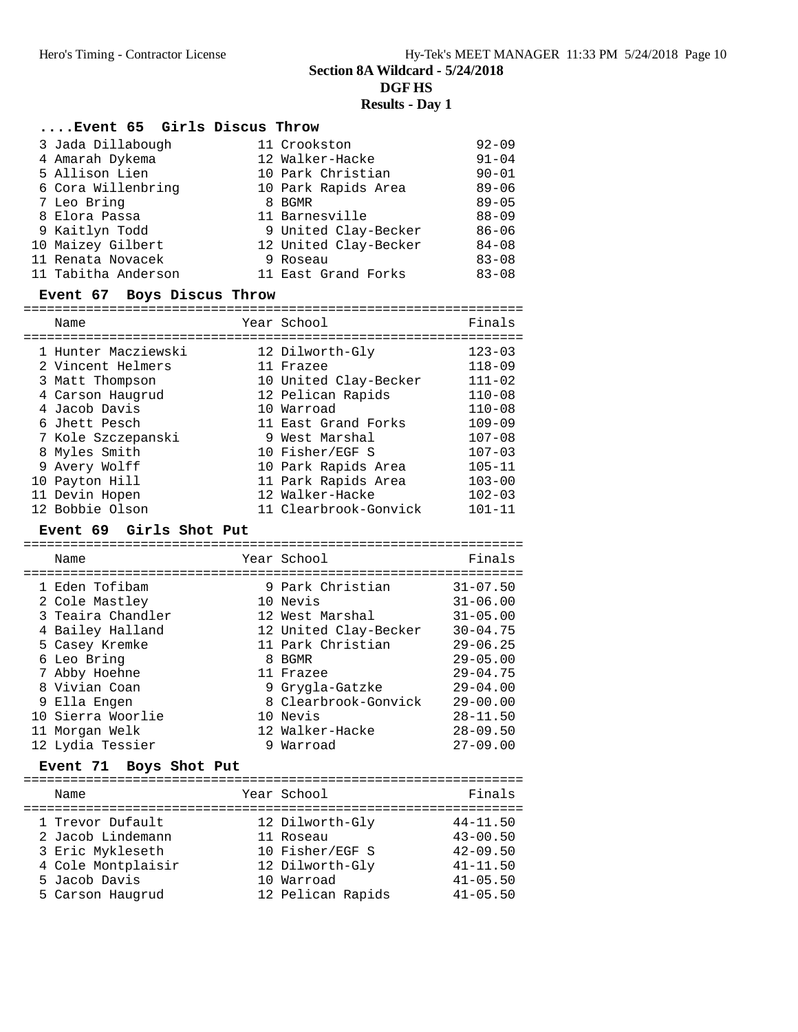# **....Event 65 Girls Discus Throw**

|  | 3 Jada Dillabough   | 11 Crookston          | $92 - 09$ |
|--|---------------------|-----------------------|-----------|
|  | 4 Amarah Dykema     | 12 Walker-Hacke       | $91 - 04$ |
|  | 5 Allison Lien      | 10 Park Christian     | $90 - 01$ |
|  | 6 Cora Willenbring  | 10 Park Rapids Area   | $89 - 06$ |
|  | 7 Leo Bring         | 8 BGMR                | $89 - 05$ |
|  | 8 Elora Passa       | 11 Barnesville        | $88 - 09$ |
|  | 9 Kaitlyn Todd      | 9 United Clay-Becker  | $86 - 06$ |
|  | 10 Maizey Gilbert   | 12 United Clay-Becker | $84 - 08$ |
|  | 11 Renata Novacek   | 9 Roseau              | $83 - 08$ |
|  | 11 Tabitha Anderson | 11 East Grand Forks   | $83 - 08$ |

# **Event 67 Boys Discus Throw**

| Name                | Year School           | Finals     |
|---------------------|-----------------------|------------|
| 1 Hunter Macziewski | 12 Dilworth-Gly       | $123 - 03$ |
| 2 Vincent Helmers   | 11 Frazee             | $118 - 09$ |
| 3 Matt Thompson     | 10 United Clay-Becker | $111 - 02$ |
| 4 Carson Haugrud    | 12 Pelican Rapids     | $110 - 08$ |
| 4 Jacob Davis       | 10 Warroad            | $110 - 08$ |
| 6 Jhett Pesch       | 11 East Grand Forks   | $109 - 09$ |
| 7 Kole Szczepanski  | 9 West Marshal        | $107 - 08$ |
| 8 Myles Smith       | 10 Fisher/EGF S       | $107 - 03$ |
| 9 Avery Wolff       | 10 Park Rapids Area   | $105 - 11$ |
| 10 Payton Hill      | 11 Park Rapids Area   | $103 - 00$ |
| 11 Devin Hopen      | 12 Walker-Hacke       | $102 - 03$ |
| 12 Bobbie Olson     | 11 Clearbrook-Gonvick | $101 - 11$ |

#### **Event 69 Girls Shot Put**

| Name                                                                                                                                                         | Year School                                                                                                                                                     | Finals                                                                                                                                       |
|--------------------------------------------------------------------------------------------------------------------------------------------------------------|-----------------------------------------------------------------------------------------------------------------------------------------------------------------|----------------------------------------------------------------------------------------------------------------------------------------------|
| 1 Eden Tofibam<br>2 Cole Mastley<br>3 Teaira Chandler<br>4 Bailey Halland<br>5 Casey Kremke<br>6 Leo Bring<br>7 Abby Hoehne<br>8 Vivian Coan<br>9 Ella Engen | 9 Park Christian<br>10 Nevis<br>12 West Marshal<br>12 United Clay-Becker<br>11 Park Christian<br>8 BGMR<br>11 Frazee<br>9 Grygla-Gatzke<br>8 Clearbrook-Gonvick | $31 - 07.50$<br>$31 - 06.00$<br>$31 - 05.00$<br>$30 - 04.75$<br>$29 - 06.25$<br>$29 - 05.00$<br>$29 - 04.75$<br>$29 - 04.00$<br>$29 - 00.00$ |
| 10 Sierra Woorlie<br>11 Morgan Welk                                                                                                                          | 10 Nevis<br>12 Walker-Hacke                                                                                                                                     | $28 - 11.50$<br>$28 - 09.50$                                                                                                                 |
| 12 Lydia Tessier                                                                                                                                             | 9 Warroad                                                                                                                                                       | $27 - 09.00$                                                                                                                                 |

#### **Event 71 Boys Shot Put**

| Year School<br>Name                                                                                                                                                                                                           | Finals                                                                                       |
|-------------------------------------------------------------------------------------------------------------------------------------------------------------------------------------------------------------------------------|----------------------------------------------------------------------------------------------|
| 12 Dilworth-Gly<br>1 Trevor Dufault<br>2 Jacob Lindemann<br>11 Roseau<br>3 Eric Mykleseth<br>10 Fisher/EGF S<br>4 Cole Montplaisir<br>12 Dilworth-Gly<br>5 Jacob Davis<br>10 Warroad<br>12 Pelican Rapids<br>5 Carson Haugrud | $44 - 11.50$<br>$43 - 00.50$<br>$42 - 09.50$<br>$41 - 11.50$<br>$41 - 05.50$<br>$41 - 05.50$ |